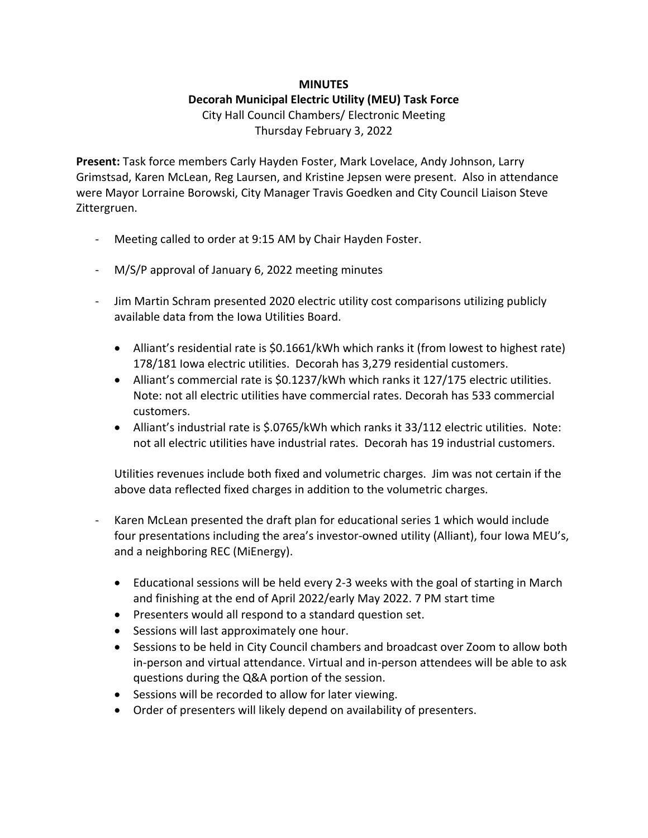## **MINUTES**

## **Decorah Municipal Electric Utility (MEU) Task Force**

City Hall Council Chambers/ Electronic Meeting Thursday February 3, 2022

**Present:** Task force members Carly Hayden Foster, Mark Lovelace, Andy Johnson, Larry Grimstsad, Karen McLean, Reg Laursen, and Kristine Jepsen were present. Also in attendance were Mayor Lorraine Borowski, City Manager Travis Goedken and City Council Liaison Steve Zittergruen.

- Meeting called to order at 9:15 AM by Chair Hayden Foster.
- M/S/P approval of January 6, 2022 meeting minutes
- Jim Martin Schram presented 2020 electric utility cost comparisons utilizing publicly available data from the Iowa Utilities Board.
	- Alliant's residential rate is \$0.1661/kWh which ranks it (from lowest to highest rate) 178/181 Iowa electric utilities. Decorah has 3,279 residential customers.
	- Alliant's commercial rate is \$0.1237/kWh which ranks it 127/175 electric utilities. Note: not all electric utilities have commercial rates. Decorah has 533 commercial customers.
	- Alliant's industrial rate is \$.0765/kWh which ranks it 33/112 electric utilities. Note: not all electric utilities have industrial rates. Decorah has 19 industrial customers.

Utilities revenues include both fixed and volumetric charges. Jim was not certain if the above data reflected fixed charges in addition to the volumetric charges.

- Karen McLean presented the draft plan for educational series 1 which would include four presentations including the area's investor-owned utility (Alliant), four Iowa MEU's, and a neighboring REC (MiEnergy).
	- Educational sessions will be held every 2-3 weeks with the goal of starting in March and finishing at the end of April 2022/early May 2022. 7 PM start time
	- Presenters would all respond to a standard question set.
	- Sessions will last approximately one hour.
	- Sessions to be held in City Council chambers and broadcast over Zoom to allow both in-person and virtual attendance. Virtual and in-person attendees will be able to ask questions during the Q&A portion of the session.
	- Sessions will be recorded to allow for later viewing.
	- Order of presenters will likely depend on availability of presenters.